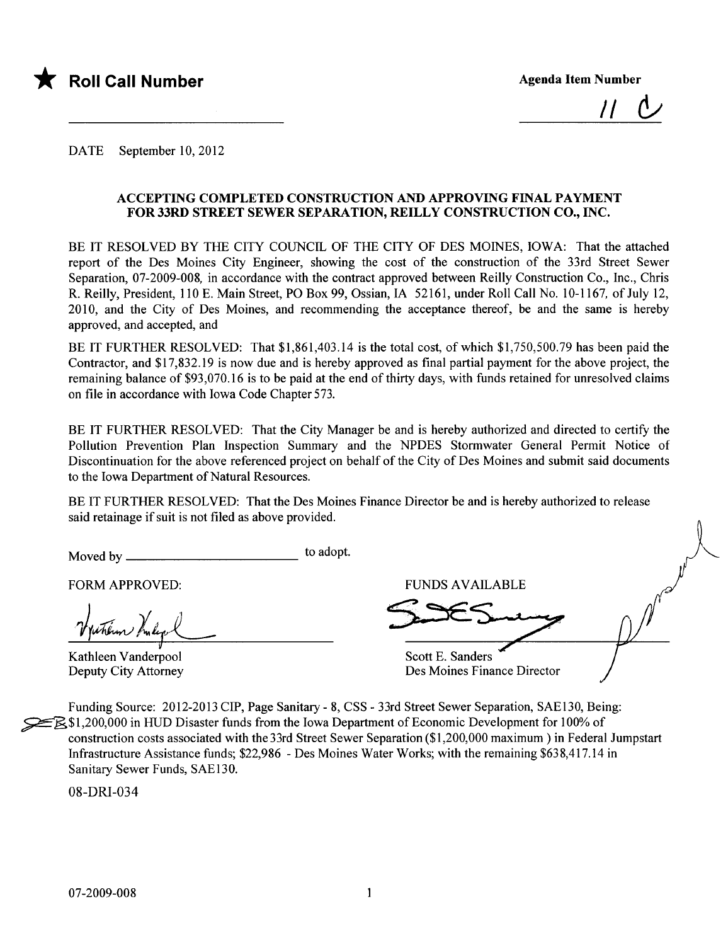

 $II$ 

DATE September 10,2012

#### ACCEPTING COMPLETED CONSTRUCTION AND APPROVING FINAL PAYMENT FOR 33RD STREET SEWER SEPARTION, REILLY CONSTRUCTION CO., INC.

BE IT RESOLVED BY THE CITY COUNCIL OF THE CITY OF DES MOINES, IOWA: That the attached report of the Des Moines City Engineer, showing the cost of the construction of the 33rd Street Sewer Separation, 07-2009-008, in accordance with the contract approved between Reily Construction Co., Inc., Chris R. Reily, President, 110 E. Main Street, PO Box 99, Ossian, IA 52161, under Roll Call No. 10-1167, of July 12, 2010, and the City of Des Moines, and recommending the acceptance thereof, be and the same is hereby approved, and accepted, and

BE IT FURTHER RESOLVED: That \$1,861,403.14 is the total cost, of which \$1,750,500.79 has been paid the Contractor, and \$17,832.19 is now due and is hereby approved as final partial payment for the above project, the remaining balance of \$93,070.16 is to be paid at the end of thirty days, with funds retained for unresolved claims on file in accordance with Iowa Code Chapter 573.

BE IT FURTHER RESOLVED: That the City Manager be and is hereby authorized and directed to certify the Pollution Prevention Plan Inspection Summary and the NPDES Stormwater General Permit Notice of Discontinuation for the above referenced project on behalf of the City of Des Moines and submit said documents to the Iowa Department of Natural Resources.

BE IT FURTHER RESOLVED: That the Des Moines Finance Director be and is hereby authorized to release said retainage if suit is not fied as above provided.

Moved by to adopt.

FORM APPROVED: THE RESERVED OF THE RESERVED FUNDS AVAILABLE

when Inleg

Kathleen Vanderpool Deputy City Attorney

Scott E. Sanders Des Moines Finance Director

Funding Source: 2012-2013 CIP, Page Sanitary - 8, CSS - 33rd Street Sewer Separation, SAE130, Being: ~\$1,200,000 in HUD Disaster funds from the Iowa Department of Economic Development for 100% of construction costs associated with the 33rd Street Sewer Separation (\$1,200,000 maximum) in Federal Jumpstart Infrastructure Assistance funds; \$22,986 - Des Moines Water Works; with the remaining \$638,417.14 in Sanitary Sewer Funds, SAE130.

08-DRI-034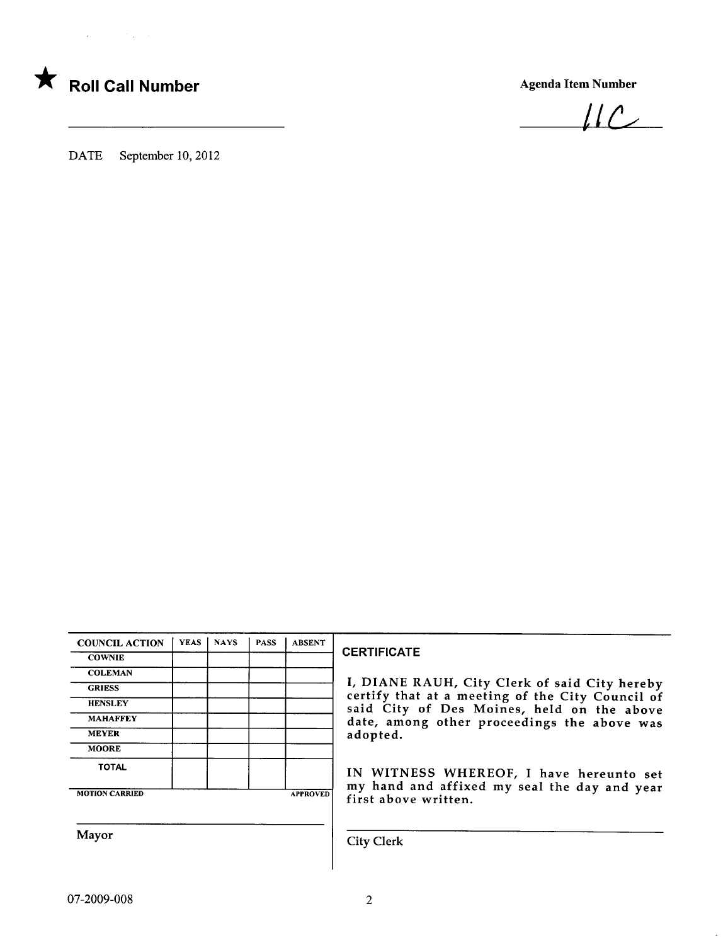



 $ILC$ 

DATE September 10, 2012

| <b>COUNCIL ACTION</b> | <b>YEAS</b> | <b>NAYS</b> | <b>PASS</b> | <b>ABSENT</b>   |
|-----------------------|-------------|-------------|-------------|-----------------|
| <b>COWNIE</b>         |             |             |             |                 |
| <b>COLEMAN</b>        |             |             |             |                 |
| <b>GRIESS</b>         |             |             |             |                 |
| <b>HENSLEY</b>        |             |             |             |                 |
| <b>MAHAFFEY</b>       |             |             |             |                 |
| <b>MEYER</b>          |             |             |             |                 |
| <b>MOORE</b>          |             |             |             |                 |
| <b>TOTAL</b>          |             |             |             |                 |
| <b>MOTION CARRIED</b> |             |             |             | <b>APPROVED</b> |

#### **CERTIFICATE**

I, DIANE RAUH, City Clerk of said City hereby certify that at a meeting of the City Council of said City of Des Moines, held on the above date, among other proceedings the above was adopted.

IN WITNESS WHEREOF, I have hereunto set my hand and affixed my seal the day and year first above written.

Mayor City Clerk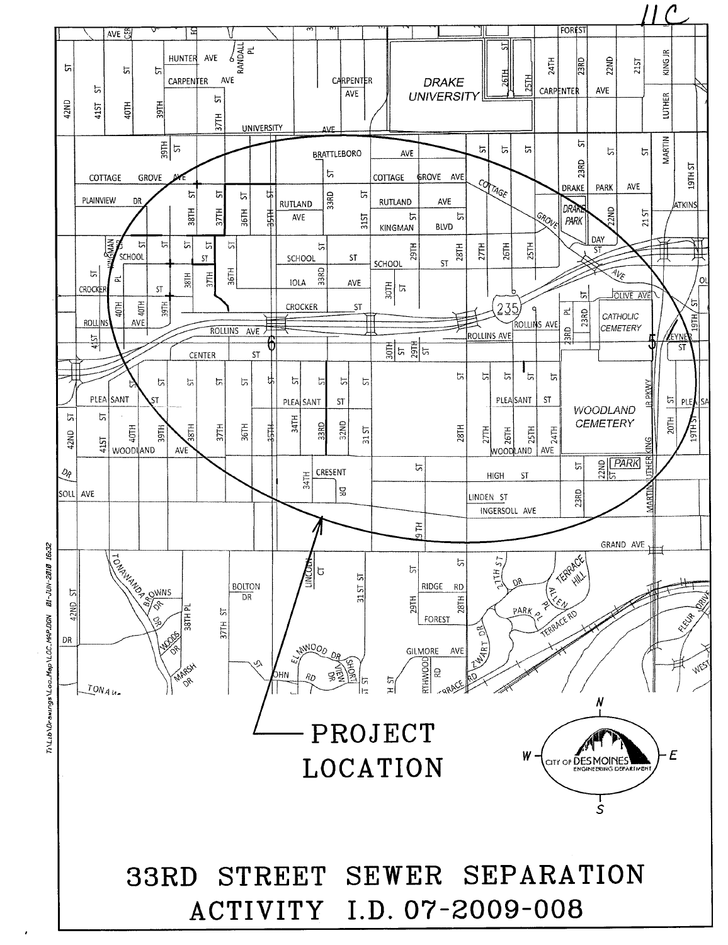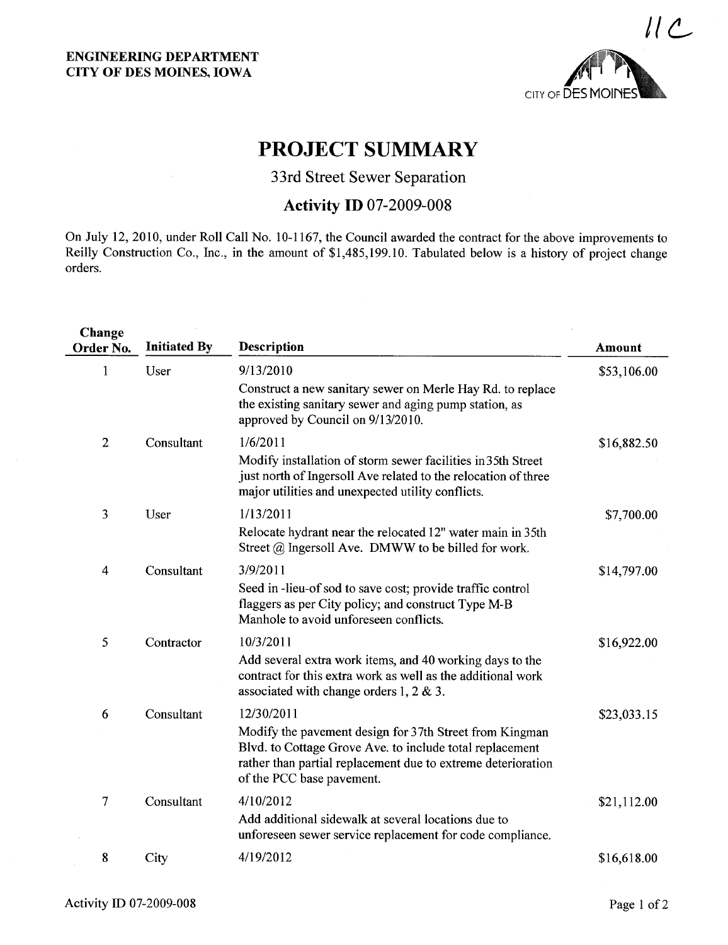

## PROJECT SUMMARY

33rd Street Sewer Separation

### **Activity ID 07-2009-008**

On July 12,2010, under Roll Call No. 10-1167, the Council awarded the contract for the above improvements to Reily Construction Co., Inc., in the amount of \$1,485,199.10. Tabulated below is a history of project change orders.

| Change<br>Order No. | <b>Initiated By</b> | Description                                                                                                                                                                                                      | Amount      |
|---------------------|---------------------|------------------------------------------------------------------------------------------------------------------------------------------------------------------------------------------------------------------|-------------|
| 1                   | User                | 9/13/2010                                                                                                                                                                                                        | \$53,106.00 |
|                     |                     | Construct a new sanitary sewer on Merle Hay Rd. to replace<br>the existing sanitary sewer and aging pump station, as<br>approved by Council on 9/13/2010.                                                        |             |
| $\mathbf{2}$        | Consultant          | 1/6/2011                                                                                                                                                                                                         | \$16,882.50 |
|                     |                     | Modify installation of storm sewer facilities in 35th Street<br>just north of Ingersoll Ave related to the relocation of three<br>major utilities and unexpected utility conflicts.                              |             |
| 3                   | User                | 1/13/2011                                                                                                                                                                                                        | \$7,700.00  |
|                     |                     | Relocate hydrant near the relocated 12" water main in 35th<br>Street $@$ Ingersoll Ave. DMWW to be billed for work.                                                                                              |             |
| 4                   | Consultant          | 3/9/2011                                                                                                                                                                                                         | \$14,797.00 |
|                     |                     | Seed in-lieu-of sod to save cost; provide traffic control<br>flaggers as per City policy; and construct Type M-B<br>Manhole to avoid unforeseen conflicts.                                                       |             |
| 5                   | Contractor          | 10/3/2011                                                                                                                                                                                                        | \$16,922.00 |
|                     |                     | Add several extra work items, and 40 working days to the<br>contract for this extra work as well as the additional work<br>associated with change orders 1, 2 & 3.                                               |             |
| 6                   | Consultant          | 12/30/2011                                                                                                                                                                                                       | \$23,033.15 |
|                     |                     | Modify the pavement design for 37th Street from Kingman<br>Blvd. to Cottage Grove Ave. to include total replacement<br>rather than partial replacement due to extreme deterioration<br>of the PCC base pavement. |             |
| 7                   | Consultant          | 4/10/2012                                                                                                                                                                                                        | \$21,112.00 |
|                     |                     | Add additional sidewalk at several locations due to<br>unforeseen sewer service replacement for code compliance.                                                                                                 |             |
| 8                   | City                | 4/19/2012                                                                                                                                                                                                        | \$16,618.00 |
|                     |                     |                                                                                                                                                                                                                  |             |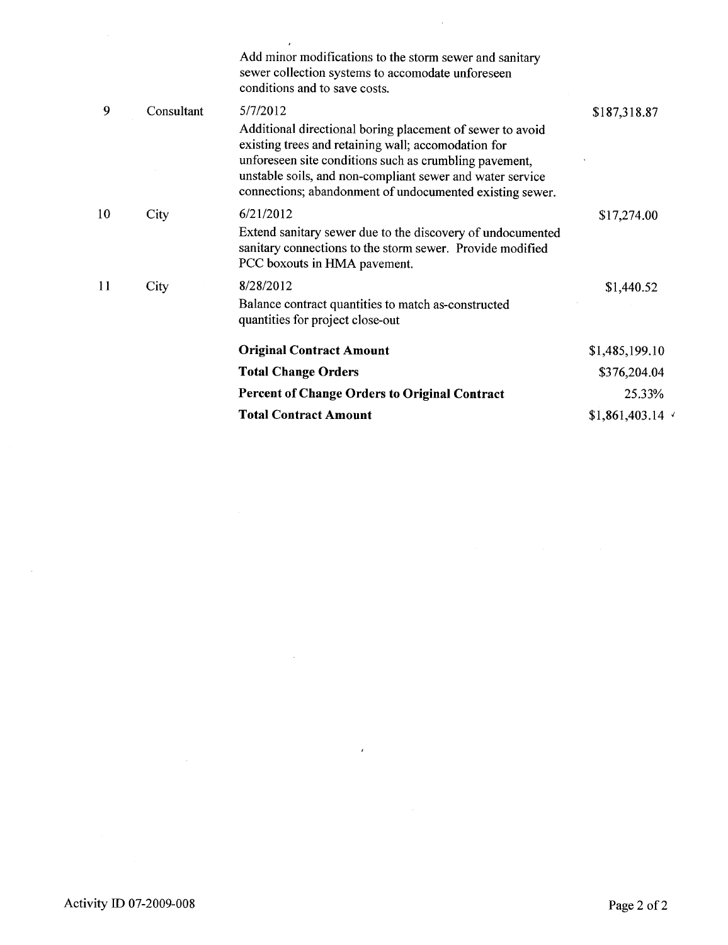|    |            | Add minor modifications to the storm sewer and sanitary<br>sewer collection systems to accomodate unforeseen<br>conditions and to save costs.                                                                                                                                                                   |                |
|----|------------|-----------------------------------------------------------------------------------------------------------------------------------------------------------------------------------------------------------------------------------------------------------------------------------------------------------------|----------------|
| 9  | Consultant | 5/7/2012<br>Additional directional boring placement of sewer to avoid<br>existing trees and retaining wall; accomodation for<br>unforeseen site conditions such as crumbling pavement,<br>unstable soils, and non-compliant sewer and water service<br>connections; abandonment of undocumented existing sewer. | \$187,318.87   |
| 10 | City       | 6/21/2012<br>Extend sanitary sewer due to the discovery of undocumented<br>sanitary connections to the storm sewer. Provide modified<br>PCC boxouts in HMA pavement.                                                                                                                                            | \$17,274.00    |
| 11 | City       | 8/28/2012<br>Balance contract quantities to match as-constructed<br>quantities for project close-out                                                                                                                                                                                                            | \$1,440.52     |
|    |            | <b>Original Contract Amount</b>                                                                                                                                                                                                                                                                                 | \$1,485,199.10 |
|    |            | <b>Total Change Orders</b>                                                                                                                                                                                                                                                                                      | \$376,204.04   |
|    |            | <b>Percent of Change Orders to Original Contract</b>                                                                                                                                                                                                                                                            | 25.33%         |
|    |            | <b>Total Contract Amount</b>                                                                                                                                                                                                                                                                                    | \$1,861,403.14 |
|    |            |                                                                                                                                                                                                                                                                                                                 |                |

 $\sim$   $\sim$ 

 $\epsilon$  .

 $\sim$   $\sim$ 

 $\sim 10$ 

 $\mathcal{A}^{\mathcal{A}}$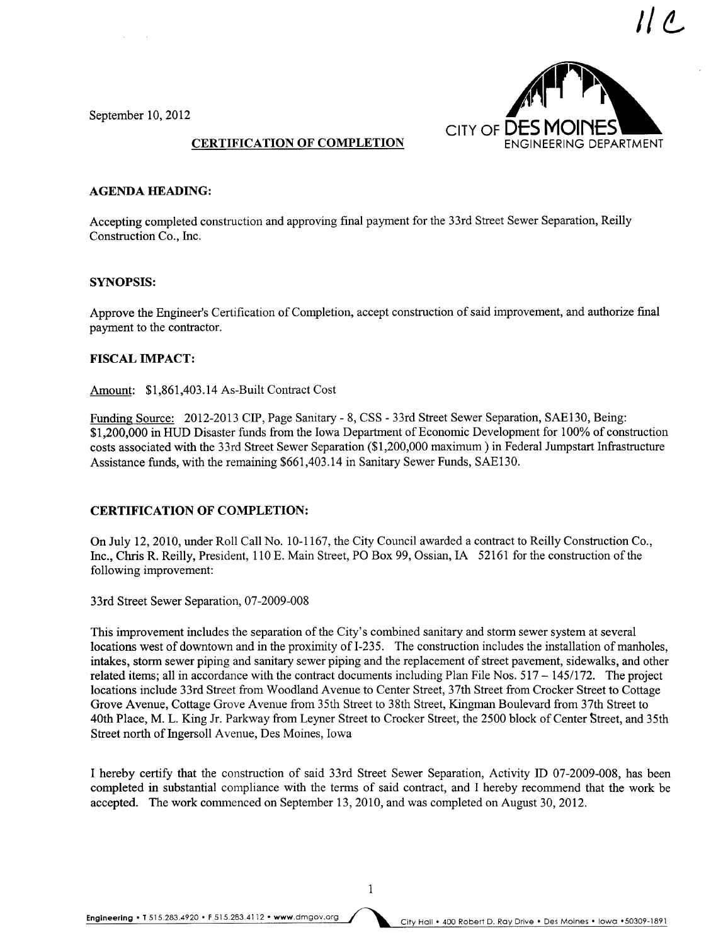1/ ¿

September 10,2012



#### CERTIFICATION OF COMPLETION

#### AGENDA HEADING:

Accepting completed construction and approving final payment for the 33rd Street Sewer Separation, Reilly Construction Co., Inc.

#### SYNOPSIS:

Approve the Engineer's Certification of Completion, accept construction of said improvement, and authorize final payment to the contractor.

#### FISCAL IMPACT:

Amount: \$1,861,403.14 As-Built Contract Cost

Funding Source: 2012-2013 CIP, Page Sanitary - 8, CSS - 33rd Street Sewer Separation, SAE130, Being: \$1,200,000 in HUD Disaster funds from the Iowa Department of Economic Development for 100% of construction costs associated with the 33rd Street Sewer Separation (\$1,200,000 maximum) in Federal Jumpstart Infrastructure Assistance funds, with the remaining \$661,403.14 in Sanitary Sewer Funds, SAE130.

#### CERTIFICATION OF COMPLETION:

On July 12, 2010, under Roll Call No. 10-1167, the City Council awarded a contract to Reilly Construction Co., Inc., Chris R. Reilly, President, 110 E. Main Street, PO Box 99, Ossian, IA 52161 for the construction of the following improvement:

33rd Street Sewer Separation, 07-2009-008

This improvement includes the separation of the City's combined sanitary and storm sewer system at several locations west of downtown and in the proximity of I-235. The construction includes the installation of manholes, intakes, storm sewer piping and sanitary sewer piping and the replacement of street pavement, sidewalks, and other related items; all in accordance with the contract documents including Plan File Nos.  $517 - 145/172$ . The project locations include 33rd Street from Woodland Avenue to Center Street, 37th Street from Crocker Street to Cottage Grove Avenue, Cottage Grove Avenue from 35th Street to 38th Street, Kingman Boulevard from 37th Street to 40th Place, M. L. King Jr. Parkway from Leyner Street to Crocker Street, the 2500 block of Center Street, and 35th Street north of Ingersoll Avenue, Des Moines, Iowa

I hereby certify that the construction of said 33rd Street Sewer Separation, Activity ID 07-2009-008, has been completed in substantial compliance with the terms of said contract, and I hereby recommend that the work be accepted. The work commenced on September 13,2010, and was completed on August 30, 2012.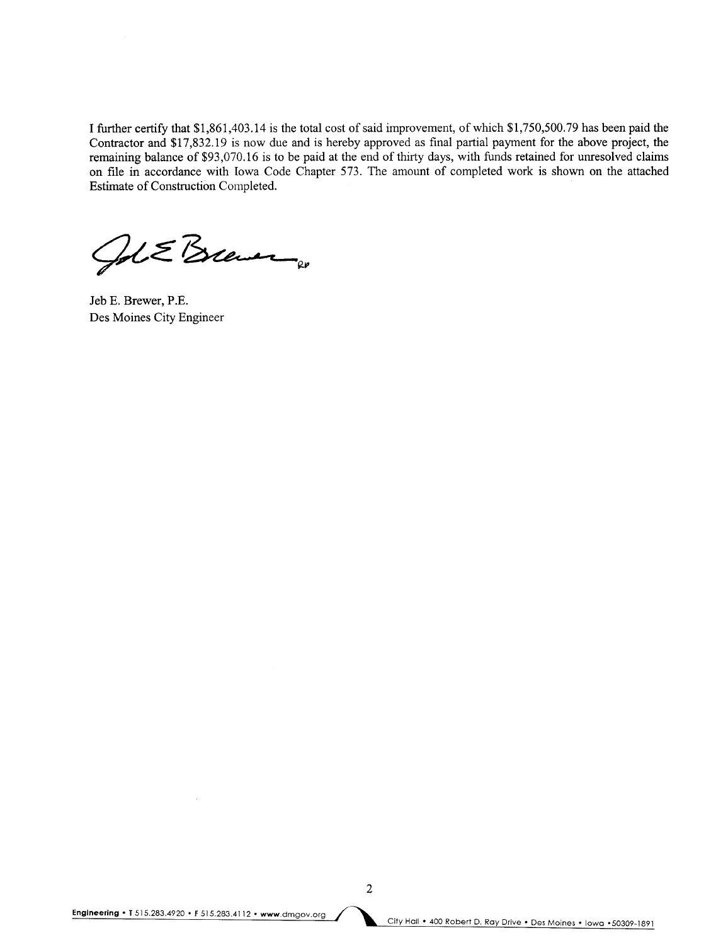I further certify that \$1,861,403.14 is the total cost of said improvement, of which \$1,750,500.79 has been paid the Contractor and \$17,832.19 is now due and is hereby approved as final partial payment for the above project, the remaining balance of \$93,070.16 is to be paid at the end of thirty days, with funds retained for unresolved claims on file in accordance with Iowa Code Chapter 573. The amount of completed work is shown on the attached Estimate of Construction Completed.

 $2dE$ Brever

Jeb E. Brewer, P.E. Des Moines City Engineer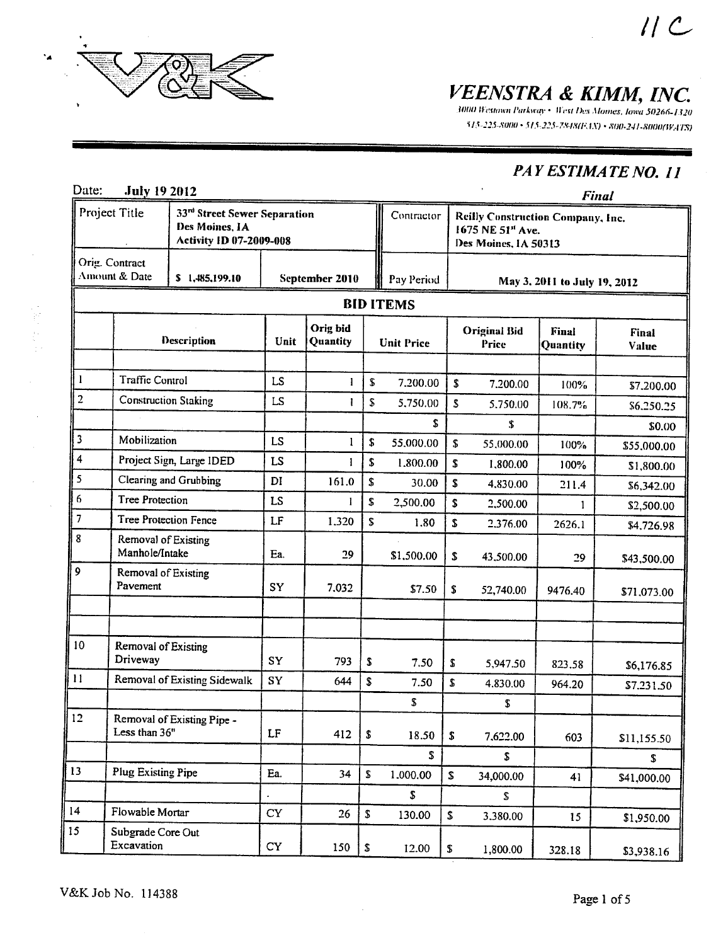

性中性。

 $\bar{z}$ 

VEENSTRA & KIMM, INC.

515-225-8000 · 515-225-7848(FAX) · 800-241-8000(WATS)

## PAY ESTIMATE NO. 11

 $11c$ 

| Date:                   | <b>July 19 2012</b>                                                                               |                              |           |                      |                    |                   |                                                                                            |                              |                              | <b>Final</b>             |
|-------------------------|---------------------------------------------------------------------------------------------------|------------------------------|-----------|----------------------|--------------------|-------------------|--------------------------------------------------------------------------------------------|------------------------------|------------------------------|--------------------------|
|                         | Project Title<br>33rd Street Sewer Separation<br>Des Moines, IA<br><b>Activity ID 07-2009-008</b> |                              |           |                      | Contractor         |                   | Reilly Construction Company, Inc.<br>1675 NE 51 <sup>st</sup> Ave.<br>Des Moines, IA 50313 |                              |                              |                          |
|                         | Orig. Contract<br>Amount & Date                                                                   | \$1,485,199.10               |           | September 2010       |                    | Pay Period        |                                                                                            |                              | May 3, 2011 to July 19, 2012 |                          |
|                         |                                                                                                   |                              |           |                      |                    | <b>BID ITEMS</b>  |                                                                                            |                              |                              |                          |
|                         |                                                                                                   | Description                  | Unit      | Orig bid<br>Quantity |                    | <b>Unit Price</b> |                                                                                            | <b>Original Bid</b><br>Price | Final<br>Quantity            | Final<br>Value           |
| $\mathbf{I}$            | <b>Traffic Control</b>                                                                            |                              | <b>LS</b> | 1                    | S                  | 7.200.00          | \$                                                                                         | 7.200.00                     |                              |                          |
| $\overline{2}$          |                                                                                                   | <b>Construction Staking</b>  | LS        | 1                    | \$                 | 5,750.00          | \$                                                                                         | 5,750.00                     | 100%<br>108.7%               | \$7,200.00<br>\$6,250.25 |
|                         |                                                                                                   |                              |           |                      |                    | S                 |                                                                                            | \$                           |                              | \$0.00                   |
| 3                       | Mobilization                                                                                      |                              | LS        | 1                    | \$                 | 55.000.00         | S.                                                                                         | 55,000.00                    | 100%                         | \$55,000.00              |
| $\overline{\mathbf{4}}$ |                                                                                                   | Project Sign, Large IDED     | <b>LS</b> | 1                    | \$                 | 1.800.00          | S                                                                                          | 1,800.00                     | 100%                         | \$1,800.00               |
| 5                       |                                                                                                   | Clearing and Grubbing        | DI        | 161.0                | \$                 | 30.00             | $\mathbf S$                                                                                | 4,830.00                     | 211.4                        | \$6,342.00               |
| 6                       | <b>Tree Protection</b>                                                                            |                              | LS        | 1                    | \$                 | 2,500.00          | $\mathbf S$                                                                                | 2,500.00                     | $\mathbf{1}$                 | \$2,500.00               |
| 7                       |                                                                                                   | <b>Tree Protection Fence</b> | LF        | 1.320                | \$                 | 1.80              | $\mathbf S$                                                                                | 2.376.00                     | 2626.1                       | \$4,726.98               |
| 8                       | Removal of Existing<br>Manhole/Intake                                                             |                              | Ea.       | 29                   |                    | \$1,500.00        | S.                                                                                         | 43,500.00                    | 29                           | \$43,500.00              |
| 9                       | Removal of Existing<br>Pavement                                                                   |                              | <b>SY</b> | 7.032                |                    | \$7.50            | \$                                                                                         | 52,740.00                    | 9476.40                      | \$71,073.00              |
|                         |                                                                                                   |                              |           |                      |                    |                   |                                                                                            |                              |                              |                          |
| 10                      | Removal of Existing<br>Driveway                                                                   |                              | SY        | 793                  | \$                 | 7.50              | S                                                                                          | 5,947.50                     | 823.58                       | \$6,176.85               |
| $\mathbf{11}$           |                                                                                                   | Removal of Existing Sidewalk | SY        | 644                  | \$                 | 7.50              | S                                                                                          | 4.830.00                     | 964.20                       | \$7.231.50               |
|                         |                                                                                                   |                              |           |                      |                    | \$                |                                                                                            | S.                           |                              |                          |
| 12                      | Less than 36"                                                                                     | Removal of Existing Pipe -   | LF        | 412                  | ${\bf \hat{5}}$    | 18.50             | $\boldsymbol{\mathsf{s}}$                                                                  | 7,622.00                     | 603                          | \$11,155.50              |
|                         |                                                                                                   |                              |           |                      |                    | \$                |                                                                                            | S.                           |                              | S.                       |
| 13                      | Plug Existing Pipe                                                                                |                              | Ea.       | 34                   | $\pmb{\mathsf{s}}$ | 1.000.00          | ${\mathbb S}$                                                                              | 34,000.00                    | 41                           | \$41,000.00              |
|                         |                                                                                                   |                              |           |                      |                    | \$                |                                                                                            | \$                           |                              |                          |
| 14                      | Flowable Mortar                                                                                   |                              | <b>CY</b> | 26                   | $\pmb{\mathbb{S}}$ | 130.00            | \$                                                                                         | 3.380.00                     | 15                           | \$1,950.00               |
| 15                      | Subgrade Core Out<br>Excavation                                                                   |                              | <b>CY</b> | 150                  | ${\bf S}$          | 12.00             | \$                                                                                         | 1,800.00                     | 328.18                       | \$3,938.16               |

 $\bar{z}$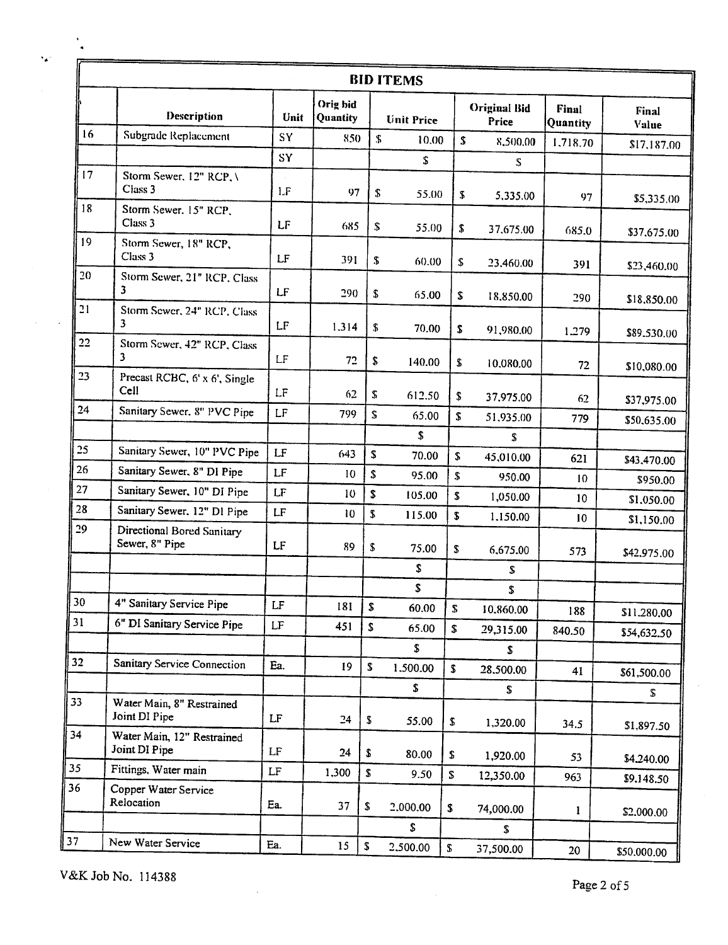|        | <b>BID ITEMS</b>                                    |                            |                      |                  |                   |               |                              |                   |                |
|--------|-----------------------------------------------------|----------------------------|----------------------|------------------|-------------------|---------------|------------------------------|-------------------|----------------|
|        | Description                                         | Unit                       | Orig hid<br>Quantity |                  | <b>Unit Price</b> |               | <b>Original Bid</b><br>Price | Final<br>Quantity | Final<br>Value |
| 16     | Subgrade Replacement                                | SY                         | 850                  | $\mathbb{S}$     | 10.00             | \$            | 8,500.00                     | 1.718.70          | \$17,187.00    |
|        |                                                     | SY                         |                      |                  | \$                |               | S.                           |                   |                |
| 17     | Storm Sewer, 12" RCP, \<br>Class 3                  | LF                         | 97                   | \$               | 55.00             | S.            | 5,335.00                     | 97                | \$5,335.00     |
| 18     | Storm Sewer, 15" RCP,<br>Class 3                    | LF                         | 685                  | ${\mathbb S}$    | 55.00             | \$            | 37.675.00                    | 685.0             | \$37,675.00    |
| 19     | Storm Sewer, 18" RCP,<br>Class 3                    | LF                         | 391                  | ${\mathfrak{F}}$ | 60.00             | S             | 23,460.00                    | 391               | \$23,460.00    |
| 20     | Storm Sewer, 21" RCP, Class<br>3.                   | LF                         | 290                  | \$               | 65.00             | S             | 18,850.00                    | 290               | \$18,850.00    |
| 21     | Storm Sewer, 24" RCP, Class<br>3                    | LF                         | 1.314                | \$               | 70.00             | \$            | 91,980.00                    | 1.279             | \$89,530.00    |
| 22     | Storm Sewer, 42" RCP, Class<br>3                    | LF                         | 72                   | \$               | 140.00            | \$            | 10.080.00                    | 72                | \$10,080.00    |
| 23     | Precast RCBC, 6' x 6', Single<br>Cell               | LF                         | 62                   | \$               | 612.50            | \$            | 37,975.00                    | 62                | \$37,975.00    |
| 24     | Sanitary Sewer, 8" PVC Pipe                         | LF                         | 799                  | \$               | 65.00             | S.            | 51,935.00                    | 779               | \$50,635.00    |
|        |                                                     |                            |                      |                  | \$                |               | S                            |                   |                |
| 25     | Sanitary Sewer, 10" PVC Pipe                        | LF                         | 643                  | S                | 70.00             | \$            | 45,010.00                    | 621               | \$43,470.00    |
| 26     | Sanitary Sewer, 8" DI Pipe                          | LF                         | 10                   | \$               | 95.00             | \$            | 950.00                       | 10                | \$950.00       |
| 27     | Sanitary Sewer, 10" DI Pipe                         | LF                         | 10                   | \$               | 105.00            | S             | 1,050.00                     | 10 <sub>o</sub>   | \$1,050.00     |
| 28     | Sanitary Sewer, 12" DI Pipe                         | LF                         | 10                   | \$               | 115.00            | S             | 1.150.00                     | 10                | \$1,150.00     |
| 29     | <b>Directional Bored Sanitary</b><br>Sewer, 8" Pipe | LF                         | 89                   | \$               | 75.00             | \$            | 6,675.00                     | 573               | \$42,975.00    |
|        |                                                     |                            |                      |                  | \$                |               | \$                           |                   |                |
|        |                                                     |                            |                      |                  | \$                |               | \$                           |                   |                |
| $30\,$ | 4" Sanitary Service Pipe                            | LF                         | 181                  | S                | 60.00             | ${\mathbb S}$ | 10,860.00                    | 188               | \$11.280.00    |
| 31     | 6" DI Sanitary Service Pipe                         | LF                         | 451                  | \$               | 65.00             | \$            | 29,315.00                    | 840.50            | \$54,632.50    |
|        |                                                     |                            |                      |                  | \$                |               | \$                           |                   |                |
| 32     | <b>Sanitary Service Connection</b>                  | Ea.                        | 19                   | \$               | 1.500.00          | \$            | 28.500.00                    | 41                | \$61,500.00    |
|        |                                                     |                            |                      |                  | \$                |               | \$                           |                   | S              |
| 33     | Water Main, 8" Restrained<br>Joint DI Pipe          | LF                         | 24                   | \$               | 55.00             | \$            | 1,320.00                     | 34.5              | \$1,897.50     |
| 34     | Water Main, 12" Restrained<br>Joint DI Pipe         | LF                         | 24                   | \$               | 80.00             | \$            | 1,920.00                     | 53                | \$4,240.00     |
| 35     | Fittings, Water main                                | $\ensuremath{\mathsf{LF}}$ | 1,300                | \$               | 9.50              | \$            | 12,350.00                    | 963               | \$9.148.50     |
| 36     | Copper Water Service<br>Relocation                  | Ea.                        | 37                   | \$               | 2,000.00          | \$            | 74,000.00                    | 1                 | \$2,000.00     |
|        |                                                     |                            |                      |                  | \$                |               | S.                           |                   |                |
| 37     | New Water Service                                   | Ea.                        | 15                   | \$               | 2,500.00          | \$            | 37,500.00                    | 20                | \$50,000.00    |

V&K Job No. 114388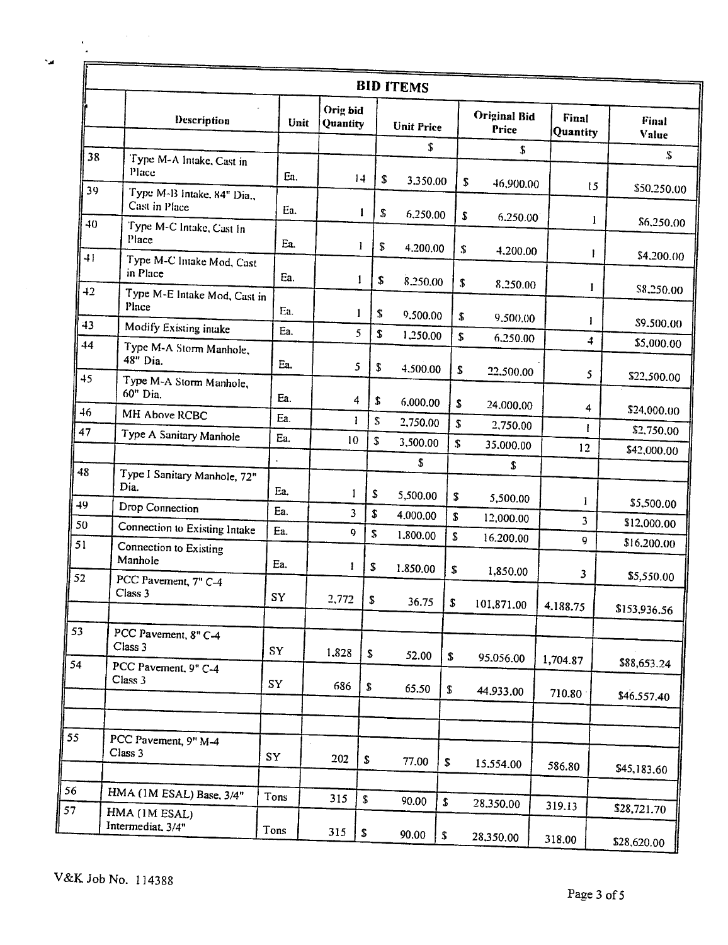| ٠ |
|---|
|   |

 $\mathbf{v}$  $\ddot{\phantom{a}}$ F  $\mathcal{L}^{\text{max}}_{\text{max}}$ 

|                 |                                             |      |                      |        | <b>BID ITEMS</b>  |    |                              |                   |                            |
|-----------------|---------------------------------------------|------|----------------------|--------|-------------------|----|------------------------------|-------------------|----------------------------|
|                 | Description                                 | Unit | Orig bid<br>Quantity |        | <b>Unit Price</b> |    | <b>Original Bid</b><br>Price | Final<br>Quantity | Final<br>Value             |
| 38              | Type M-A Intake, Cast in                    |      |                      |        | \$                |    | \$                           |                   | $\mathbf{S}$               |
|                 | Place                                       | Ea.  | 14                   | \$     | 3.350.00          |    | \$<br>46,900.00              |                   |                            |
| 39              | Type M-B Intake, 84" Dia.,<br>Cast in Place | Ea.  |                      | 1<br>S | 6,250.00          |    | \$<br>6.250.00               | 15                | \$50.250.00                |
| 40              | Type M-C Intake, Cast In<br>Place           | Ea.  | 1                    | \$     | 4.200.00          | \$ |                              | $\mathbf{I}$      | \$6,250.00                 |
| $\overline{+1}$ | Type M-C Intake Mod, Cast<br>in Place       | Ea.  | 1                    | \$     | 8,250.00          | \$ | 4.200.00                     | 1                 | \$4,200.00                 |
| 42              | Type M-E Intake Mod, Cast in<br>Place       | Ea.  | 1                    | \$     | 9.500.00          | \$ | 8.250.00                     | I                 | \$8,250.00                 |
| 43              | Modify Existing intake                      | Ea.  | 5                    | \$     | 1,250.00          | \$ | 9.500.00                     | 1                 | \$9,500.00                 |
| 44              | Type M-A Storm Manhole,<br>48" Dia.         | Ea.  | 5                    | \$     | 4.500.00          | S  | 6.250.00                     | 4                 | \$5,000.00                 |
| 45              | Type M-A Storm Manhole,<br>60" Dia.         | Ea.  | 4                    | \$     | 6.000.00          | \$ | 22,500.00<br>24.000.00       | 5                 | \$22,500.00                |
| 46              | MH Above RCBC                               | Ea.  | Ŧ                    | \$     | 2,750.00          | \$ | 2,750.00                     | 4                 | \$24,000.00                |
| 47              | Type A Sanitary Manhole                     | Ea.  | 10                   | \$     | 3,500.00          | \$ | 35,000.00                    | L                 | \$2,750.00                 |
|                 |                                             |      |                      |        | \$                |    | \$                           | 12                | \$42,000.00                |
| 48              | Type I Sanitary Manhole, 72"<br>Dia.        | Ea.  | 1                    | \$     | 5,500.00          | \$ | 5,500.00                     |                   |                            |
| 49              | Drop Connection                             | Ea.  | 3                    | \$     | 4.000.00          | S. | 12,000.00                    | 1                 | \$5,500.00                 |
| 50              | Connection to Existing Intake               | Ea.  | 9                    | \$     | 1,800.00          | \$ | 16.200.00                    | 3<br>9            | \$12,000.00                |
| 51              | Connection to Existing<br>Manhole           | Ea.  | -1                   | S      | 1.850.00          | \$ | 1,850.00                     |                   | \$16,200.00                |
| 52              | PCC Pavement, 7" C-4<br>Class 3             | SY   | 2,772                | \$     | 36.75             | \$ | 101,871.00                   | 3<br>4.188.75     | \$5,550.00<br>\$153,936.56 |
| 53              | PCC Pavement, 8" C-4<br>Class 3             | SY   |                      |        |                   |    |                              |                   |                            |
| 54              | PCC Pavement, 9" C-4<br>Class 3             |      | 1,828                | \$     | 52.00             | \$ | 95.056.00                    | 1,704.87          | \$88,653.24                |
|                 |                                             | SY   | 686                  | S      | 65.50             | \$ | 44.933.00                    | 710.80            | \$46.557.40                |
|                 |                                             |      |                      |        |                   |    |                              |                   |                            |
|                 | PCC Pavement, 9" M-4<br>Class 3             | SY   | 202                  | \$     | 77.00             | \$ | 15.554.00                    | 586.80            | \$45,183.60                |
|                 | HMA (1M ESAL) Base, 3/4"                    | Tons |                      |        |                   |    |                              |                   |                            |
|                 | HMA (1M ESAL)                               |      | 315                  | \$     | 90.00             | \$ | 28.350.00                    | 319.13            | \$28,721.70                |
|                 | Intermediat, 3/4"                           | Tons | 315                  | S      | 90.00             | \$ | 28,350.00                    | 318.00            | \$28,620.00                |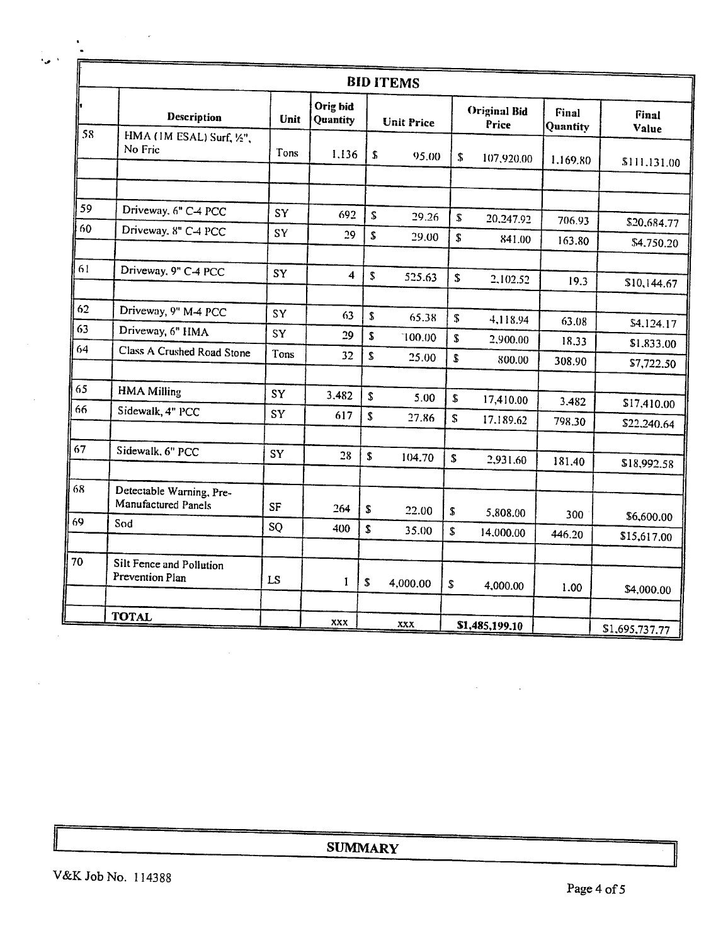|    |                                                 |      |                      |                    | <b>BID ITEMS</b>  |                    |                              |                   |                            |
|----|-------------------------------------------------|------|----------------------|--------------------|-------------------|--------------------|------------------------------|-------------------|----------------------------|
|    | Description                                     | Unit | Orig bid<br>Quantity |                    | <b>Unit Price</b> |                    | <b>Original Bid</b><br>Price | Final<br>Quantity | Final<br>Value             |
| 58 | HMA (1M ESAL) Surf, 1/2",<br>No Fric            | Tons | 1.136                | \$                 | 95.00             | \$                 | 107,920.00                   | 1.169.80          | \$111.131.00               |
|    |                                                 |      |                      |                    |                   |                    |                              |                   |                            |
| 59 | Driveway, 6" C-4 PCC                            | SY   | 692                  | S.                 | 29.26             | ${\mathbb S}$      | 20.247.92                    | 706.93            | \$20,684.77                |
| 60 | Driveway, 8" C-4 PCC                            | SY   | 29                   | $\pmb{\mathbb{S}}$ | 29.00             | \$                 | 841.00                       | 163.80            | \$4,750.20                 |
| 61 | Driveway, 9" C-4 PCC                            | SY   | $\overline{\bf 4}$   | \$                 | 525.63            | \$                 | 2,102.52                     | 19.3              |                            |
|    |                                                 |      |                      |                    |                   |                    |                              |                   | \$10,144.67                |
| 62 | Driveway, 9" M-4 PCC                            | SY   | 63                   | $\sqrt{2}$         | 65.38             | ${\mathbb S}$      | 4,118.94                     | 63.08             | \$4,124.17                 |
| 63 | Driveway, 6" HMA                                | SY   | 29                   | $\pmb{\mathsf{S}}$ | 100.00            | S.                 | 2,900.00                     | 18.33             | \$1,833.00                 |
| 64 | Class A Crushed Road Stone                      | Tons | 32                   | S                  | 25.00             | \$                 | 800.00                       | 308.90            | \$7,722.50                 |
| 65 | <b>HMA Milling</b>                              | SY   | 3.482                | S                  | 5.00              | $\pmb{\mathbb{S}}$ | 17,410.00                    | 3.482             |                            |
| 66 | Sidewalk, 4" PCC                                | SY   | 617                  | \$                 | 27.86             | $\mathbf{\hat{S}}$ | 17.189.62                    | 798.30            | \$17,410.00<br>\$22,240.64 |
| 67 | Sidewalk, 6" PCC                                | SY   | 28                   | \$                 | 104.70            | ${\bf S}$          | 2,931.60                     |                   |                            |
|    |                                                 |      |                      |                    |                   |                    |                              | 181.40            | \$18,992.58                |
| 68 | Detectable Warning, Pre-<br>Manufactured Panels | SF   | 264                  | \$                 | 22.00             | ${\mathbb S}$      | 5,808.00                     | 300               |                            |
| 69 | Sod                                             | SQ   | 400                  | \$                 | 35.00             | \$                 | 14,000.00                    | 446.20            | \$6,600.00<br>\$15,617.00  |
| 70 |                                                 |      |                      |                    |                   |                    |                              |                   |                            |
|    | Silt Fence and Pollution<br>Prevention Plan     | LS   | 1                    | ${\mathbb S}$      | 4,000.00          | \$                 | 4,000.00                     | 1.00              | \$4,000.00                 |
|    | <b>TOTAL</b>                                    |      | XXX                  |                    |                   |                    |                              |                   |                            |
|    |                                                 |      |                      |                    | XXX               |                    | \$1,485,199.10               |                   | \$1,695,737.77             |

**SUMMARY** 

 $\hat{\mathcal{A}}$ 

 $\mathcal{L}$ 

 $\bar{\beta}$ 

 $\hat{\mathcal{L}}(\hat{\mathcal{L}})$  and  $\hat{\mathcal{L}}(\hat{\mathcal{L}})$ 

 $\sim$